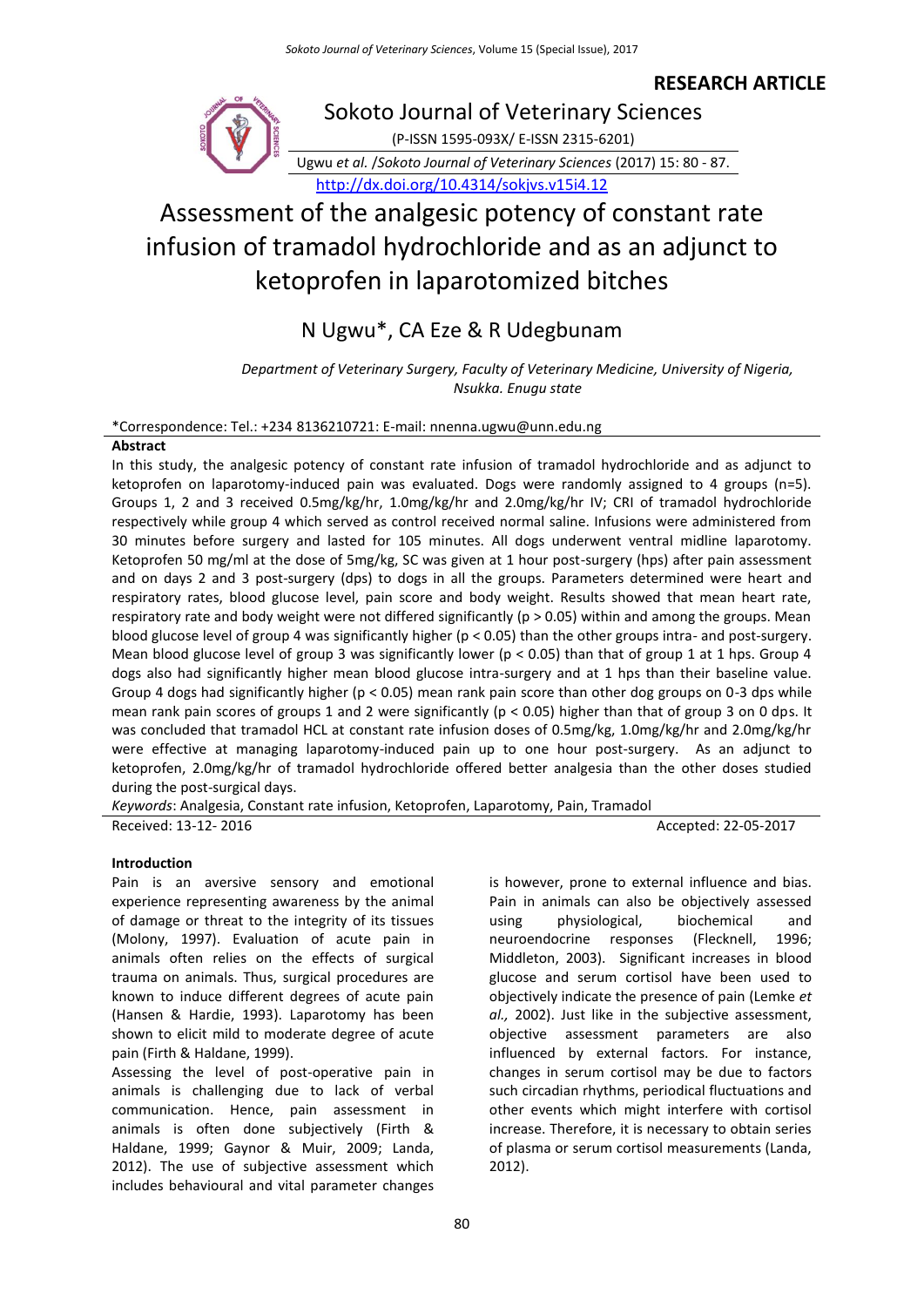### **RESEARCH ARTICLE**



# Assessment of the analgesic potency of constant rate infusion of tramadol hydrochloride and as an adjunct to ketoprofen in laparotomized bitches

## N Ugwu\*, CA Eze & R Udegbunam

*Department of Veterinary Surgery, Faculty of Veterinary Medicine, University of Nigeria, Nsukka. Enugu state*

\*Correspondence: Tel.: +234 8136210721: E-mail: nnenna.ugwu@unn.edu.ng

#### **Abstract**

In this study, the analgesic potency of constant rate infusion of tramadol hydrochloride and as adjunct to ketoprofen on laparotomy-induced pain was evaluated. Dogs were randomly assigned to 4 groups (n=5). Groups 1, 2 and 3 received 0.5mg/kg/hr, 1.0mg/kg/hr and 2.0mg/kg/hr IV; CRI of tramadol hydrochloride respectively while group 4 which served as control received normal saline. Infusions were administered from 30 minutes before surgery and lasted for 105 minutes. All dogs underwent ventral midline laparotomy. Ketoprofen 50 mg/ml at the dose of 5mg/kg, SC was given at 1 hour post-surgery (hps) after pain assessment and on days 2 and 3 post-surgery (dps) to dogs in all the groups. Parameters determined were heart and respiratory rates, blood glucose level, pain score and body weight. Results showed that mean heart rate, respiratory rate and body weight were not differed significantly (p > 0.05) within and among the groups. Mean blood glucose level of group 4 was significantly higher ( $p < 0.05$ ) than the other groups intra- and post-surgery. Mean blood glucose level of group 3 was significantly lower (p < 0.05) than that of group 1 at 1 hps. Group 4 dogs also had significantly higher mean blood glucose intra-surgery and at 1 hps than their baseline value. Group 4 dogs had significantly higher ( $p < 0.05$ ) mean rank pain score than other dog groups on 0-3 dps while mean rank pain scores of groups 1 and 2 were significantly (p < 0.05) higher than that of group 3 on 0 dps. It was concluded that tramadol HCL at constant rate infusion doses of 0.5mg/kg, 1.0mg/kg/hr and 2.0mg/kg/hr were effective at managing laparotomy-induced pain up to one hour post-surgery. As an adjunct to ketoprofen, 2.0mg/kg/hr of tramadol hydrochloride offered better analgesia than the other doses studied during the post-surgical days.

*Keywords*: Analgesia, Constant rate infusion, Ketoprofen, Laparotomy, Pain, Tramadol Received: 13-12- 2016 **Accepted: 22-05-2017** 

#### **Introduction**

Pain is an aversive sensory and emotional experience representing awareness by the animal of damage or threat to the integrity of its tissues (Molony, 1997). Evaluation of acute pain in animals often relies on the effects of surgical trauma on animals. Thus, surgical procedures are known to induce different degrees of acute pain (Hansen & Hardie, 1993). Laparotomy has been shown to elicit mild to moderate degree of acute pain (Firth & Haldane, 1999).

Assessing the level of post-operative pain in animals is challenging due to lack of verbal communication. Hence, pain assessment in animals is often done subjectively (Firth & Haldane, 1999; Gaynor & Muir, 2009; Landa, 2012). The use of subjective assessment which includes behavioural and vital parameter changes

80

is however, prone to external influence and bias. Pain in animals can also be objectively assessed using physiological, biochemical and neuroendocrine responses (Flecknell, 1996; Middleton, 2003). Significant increases in blood glucose and serum cortisol have been used to objectively indicate the presence of pain (Lemke *et al.,* 2002). Just like in the subjective assessment, objective assessment parameters are also influenced by external factors. For instance, changes in serum cortisol may be due to factors such circadian rhythms, periodical fluctuations and other events which might interfere with cortisol increase. Therefore, it is necessary to obtain series of plasma or serum cortisol measurements (Landa, 2012).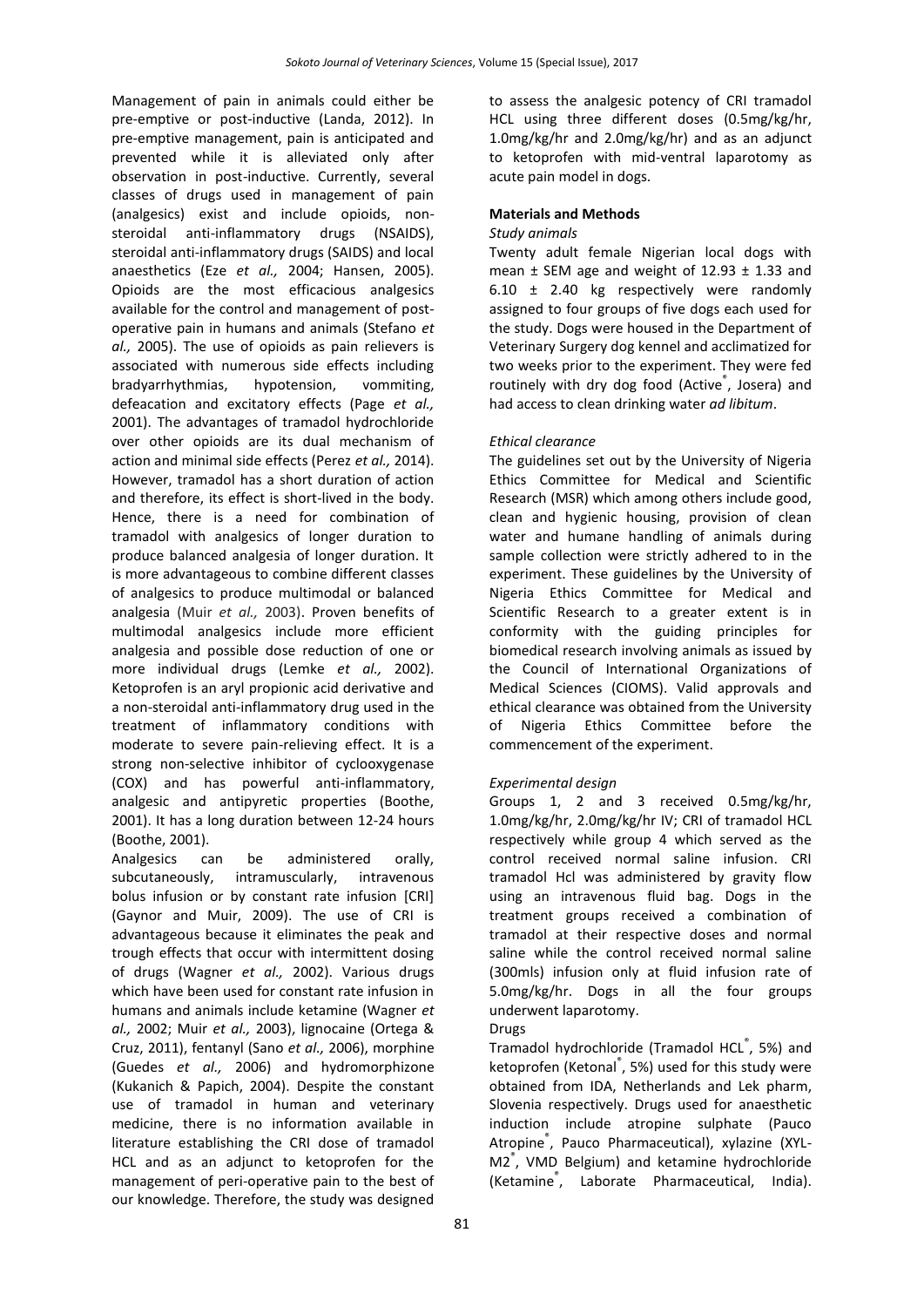Management of pain in animals could either be pre-emptive or post-inductive (Landa, 2012). In pre-emptive management, pain is anticipated and prevented while it is alleviated only after observation in post-inductive. Currently, several classes of drugs used in management of pain (analgesics) exist and include opioids, nonsteroidal anti-inflammatory drugs (NSAIDS), steroidal anti-inflammatory drugs (SAIDS) and local anaesthetics (Eze *et al.,* 2004; Hansen, 2005). Opioids are the most efficacious analgesics available for the control and management of postoperative pain in humans and animals (Stefano *et al.,* 2005). The use of opioids as pain relievers is associated with numerous side effects including bradyarrhythmias, hypotension, vommiting, defeacation and excitatory effects (Page *et al.,* 2001). The advantages of tramadol hydrochloride over other opioids are its dual mechanism of action and minimal side effects (Perez *et al.,* 2014). However, tramadol has a short duration of action and therefore, its effect is short-lived in the body. Hence, there is a need for combination of tramadol with analgesics of longer duration to produce balanced analgesia of longer duration. It is more advantageous to combine different classes of analgesics to produce multimodal or balanced analgesia (Muir *et al.,* 2003). Proven benefits of multimodal analgesics include more efficient analgesia and possible dose reduction of one or more individual drugs (Lemke *et al.,* 2002). Ketoprofen is an aryl propionic acid derivative and a non-steroidal anti-inflammatory drug used in the treatment of inflammatory conditions with moderate to severe pain-relieving effect. It is a strong non-selective inhibitor of cyclooxygenase (COX) and has powerful anti-inflammatory, analgesic and antipyretic properties (Boothe, 2001). It has a long duration between 12-24 hours (Boothe, 2001).

Analgesics can be administered orally, subcutaneously, intramuscularly, intravenous bolus infusion or by constant rate infusion [CRI] (Gaynor and Muir, 2009). The use of CRI is advantageous because it eliminates the peak and trough effects that occur with intermittent dosing of drugs (Wagner *et al.,* 2002). Various drugs which have been used for constant rate infusion in humans and animals include ketamine (Wagner *et al.,* 2002; Muir *et al.,* 2003), lignocaine (Ortega & Cruz, 2011), fentanyl (Sano *et al.,* 2006), morphine (Guedes *et al.,* 2006) and hydromorphizone (Kukanich & Papich, 2004). Despite the constant use of tramadol in human and veterinary medicine, there is no information available in literature establishing the CRI dose of tramadol HCL and as an adjunct to ketoprofen for the management of peri-operative pain to the best of our knowledge. Therefore, the study was designed

to assess the analgesic potency of CRI tramadol HCL using three different doses (0.5mg/kg/hr, 1.0mg/kg/hr and 2.0mg/kg/hr) and as an adjunct to ketoprofen with mid-ventral laparotomy as acute pain model in dogs.

#### **Materials and Methods**

#### *Study animals*

Twenty adult female Nigerian local dogs with mean  $\pm$  SEM age and weight of 12.93  $\pm$  1.33 and 6.10 ± 2.40 kg respectively were randomly assigned to four groups of five dogs each used for the study. Dogs were housed in the Department of Veterinary Surgery dog kennel and acclimatized for two weeks prior to the experiment. They were fed routinely with dry dog food (Active<sup>®</sup>, Josera) and had access to clean drinking water *ad libitum*.

#### *Ethical clearance*

The guidelines set out by the University of Nigeria Ethics Committee for Medical and Scientific Research (MSR) which among others include good, clean and hygienic housing, provision of clean water and humane handling of animals during sample collection were strictly adhered to in the experiment. These guidelines by the University of Nigeria Ethics Committee for Medical and Scientific Research to a greater extent is in conformity with the guiding principles for biomedical research involving animals as issued by the Council of International Organizations of Medical Sciences (CIOMS). Valid approvals and ethical clearance was obtained from the University of Nigeria Ethics Committee before the commencement of the experiment.

#### *Experimental design*

Groups 1, 2 and 3 received 0.5mg/kg/hr, 1.0mg/kg/hr, 2.0mg/kg/hr IV; CRI of tramadol HCL respectively while group 4 which served as the control received normal saline infusion. CRI tramadol Hcl was administered by gravity flow using an intravenous fluid bag. Dogs in the treatment groups received a combination of tramadol at their respective doses and normal saline while the control received normal saline (300mls) infusion only at fluid infusion rate of 5.0mg/kg/hr. Dogs in all the four groups underwent laparotomy.

#### Drugs

Tramadol hydrochloride (Tramadol HCL® , 5%) and ketoprofen (Ketonal<sup>®</sup>, 5%) used for this study were obtained from IDA, Netherlands and Lek pharm, Slovenia respectively. Drugs used for anaesthetic induction include atropine sulphate (Pauco Atropine® , Pauco Pharmaceutical), xylazine (XYL-M2® , VMD Belgium) and ketamine hydrochloride (Ketamine® , Laborate Pharmaceutical, India).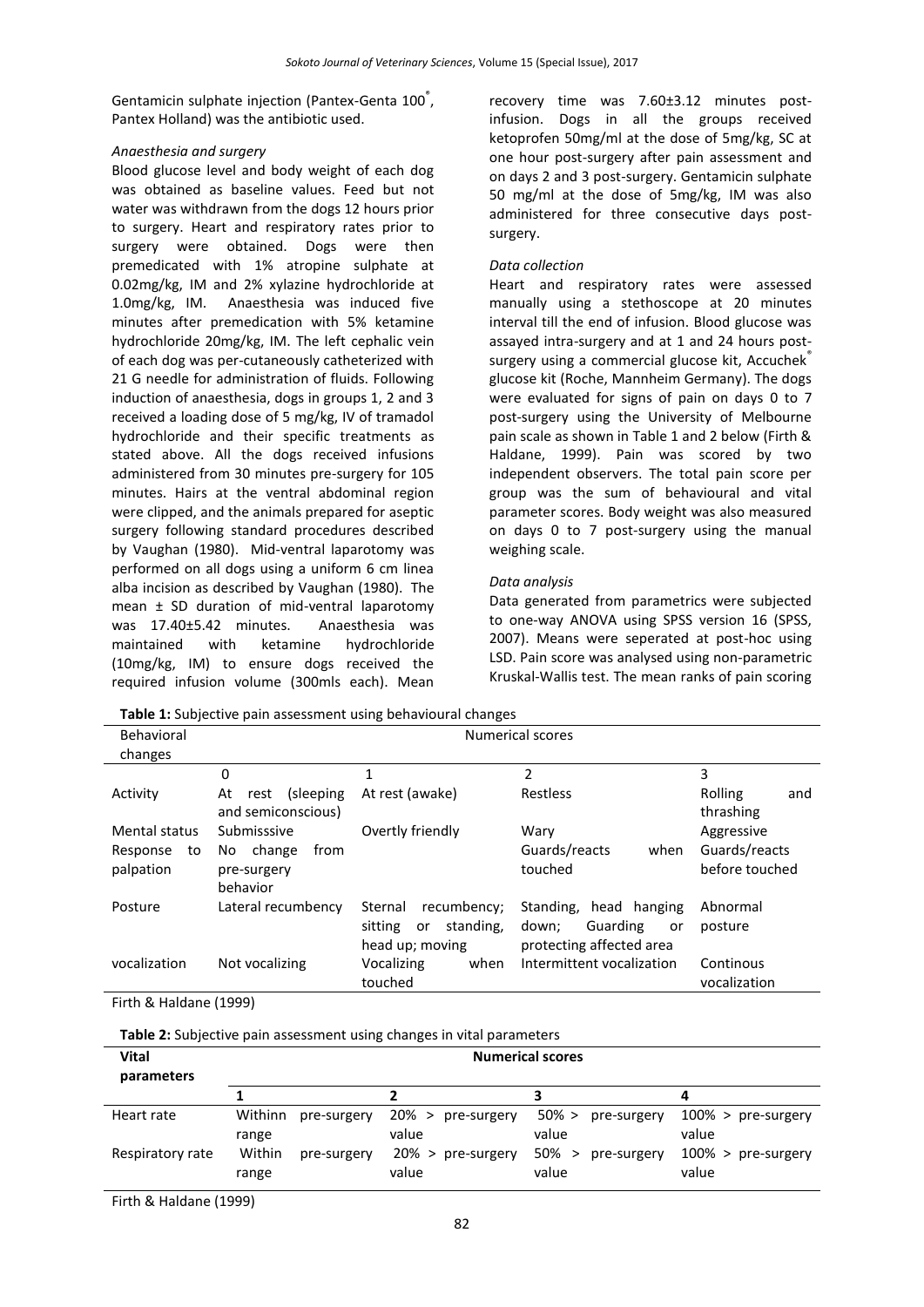Gentamicin sulphate injection (Pantex-Genta 100<sup>°</sup>, Pantex Holland) was the antibiotic used.

#### *Anaesthesia and surgery*

Blood glucose level and body weight of each dog was obtained as baseline values. Feed but not water was withdrawn from the dogs 12 hours prior to surgery. Heart and respiratory rates prior to surgery were obtained. Dogs were then premedicated with 1% atropine sulphate at 0.02mg/kg, IM and 2% xylazine hydrochloride at 1.0mg/kg, IM. Anaesthesia was induced five minutes after premedication with 5% ketamine hydrochloride 20mg/kg, IM. The left cephalic vein of each dog was per-cutaneously catheterized with 21 G needle for administration of fluids. Following induction of anaesthesia, dogs in groups 1, 2 and 3 received a loading dose of 5 mg/kg, IV of tramadol hydrochloride and their specific treatments as stated above. All the dogs received infusions administered from 30 minutes pre-surgery for 105 minutes. Hairs at the ventral abdominal region were clipped, and the animals prepared for aseptic surgery following standard procedures described by Vaughan (1980). Mid-ventral laparotomy was performed on all dogs using a uniform 6 cm linea alba incision as described by Vaughan (1980). The mean ± SD duration of mid-ventral laparotomy was 17.40±5.42 minutes. Anaesthesia was maintained with ketamine hydrochloride (10mg/kg, IM) to ensure dogs received the required infusion volume (300mls each). Mean

recovery time was 7.60±3.12 minutes postinfusion. Dogs in all the groups received ketoprofen 50mg/ml at the dose of 5mg/kg, SC at one hour post-surgery after pain assessment and on days 2 and 3 post-surgery. Gentamicin sulphate 50 mg/ml at the dose of 5mg/kg, IM was also administered for three consecutive days postsurgery.

#### *Data collection*

Heart and respiratory rates were assessed manually using a stethoscope at 20 minutes interval till the end of infusion. Blood glucose was assayed intra-surgery and at 1 and 24 hours postsurgery using a commercial glucose kit, Accuchek® glucose kit (Roche, Mannheim Germany). The dogs were evaluated for signs of pain on days 0 to 7 post-surgery using the University of Melbourne pain scale as shown in Table 1 and 2 below (Firth & Haldane, 1999). Pain was scored by two independent observers. The total pain score per group was the sum of behavioural and vital parameter scores. Body weight was also measured on days 0 to 7 post-surgery using the manual weighing scale.

#### *Data analysis*

Data generated from parametrics were subjected to one-way ANOVA using SPSS version 16 (SPSS, 2007). Means were seperated at post-hoc using LSD. Pain score was analysed using non-parametric Kruskal-Wallis test. The mean ranks of pain scoring

| <b>. which is a complete to paint assessment asing penation and changes</b> |                          |                            |                           |                |  |
|-----------------------------------------------------------------------------|--------------------------|----------------------------|---------------------------|----------------|--|
| Behavioral<br>changes                                                       | <b>Numerical scores</b>  |                            |                           |                |  |
|                                                                             |                          |                            |                           |                |  |
|                                                                             | 0                        | 1                          | 2                         | 3              |  |
| Activity                                                                    | (sleeping)<br>At<br>rest | At rest (awake)            | Restless                  | Rolling<br>and |  |
|                                                                             | and semiconscious)       |                            |                           | thrashing      |  |
| Mental status                                                               | Submisssive              | Overtly friendly           | Wary                      | Aggressive     |  |
| Response<br>to                                                              | change<br>from<br>No.    |                            | Guards/reacts<br>when     | Guards/reacts  |  |
| palpation                                                                   | pre-surgery              |                            | touched                   | before touched |  |
|                                                                             | behavior                 |                            |                           |                |  |
| Posture                                                                     | Lateral recumbency       | recumbency;<br>Sternal     | Standing, head hanging    | Abnormal       |  |
|                                                                             |                          | standing,<br>sitting<br>or | Guarding<br>down:<br>or   | posture        |  |
|                                                                             |                          | head up; moving            | protecting affected area  |                |  |
| vocalization                                                                | Not vocalizing           | Vocalizing<br>when         | Intermittent vocalization | Continous      |  |
|                                                                             |                          | touched                    |                           | vocalization   |  |

Firth & Haldane (1999)

**Table 2:** Subjective pain assessment using changes in vital parameters

**Table 1:** Subjective pain assessment using behavioural changes

| <b>Vital</b><br>parameters | <b>Numerical scores</b>         |                               |                                       |                                |
|----------------------------|---------------------------------|-------------------------------|---------------------------------------|--------------------------------|
|                            |                                 |                               |                                       | 4                              |
| Heart rate                 | Withinn<br>pre-surgery<br>range | 20% > pre-surgery<br>value    | $50\% >$<br>pre-surgery<br>value      | $100\%$ > pre-surgery<br>value |
| Respiratory rate           | Within<br>pre-surgery<br>range  | $20\%$ > pre-surgery<br>value | 50%<br>pre-surgery<br>$\geq$<br>value | $100\%$ > pre-surgery<br>value |

Firth & Haldane (1999)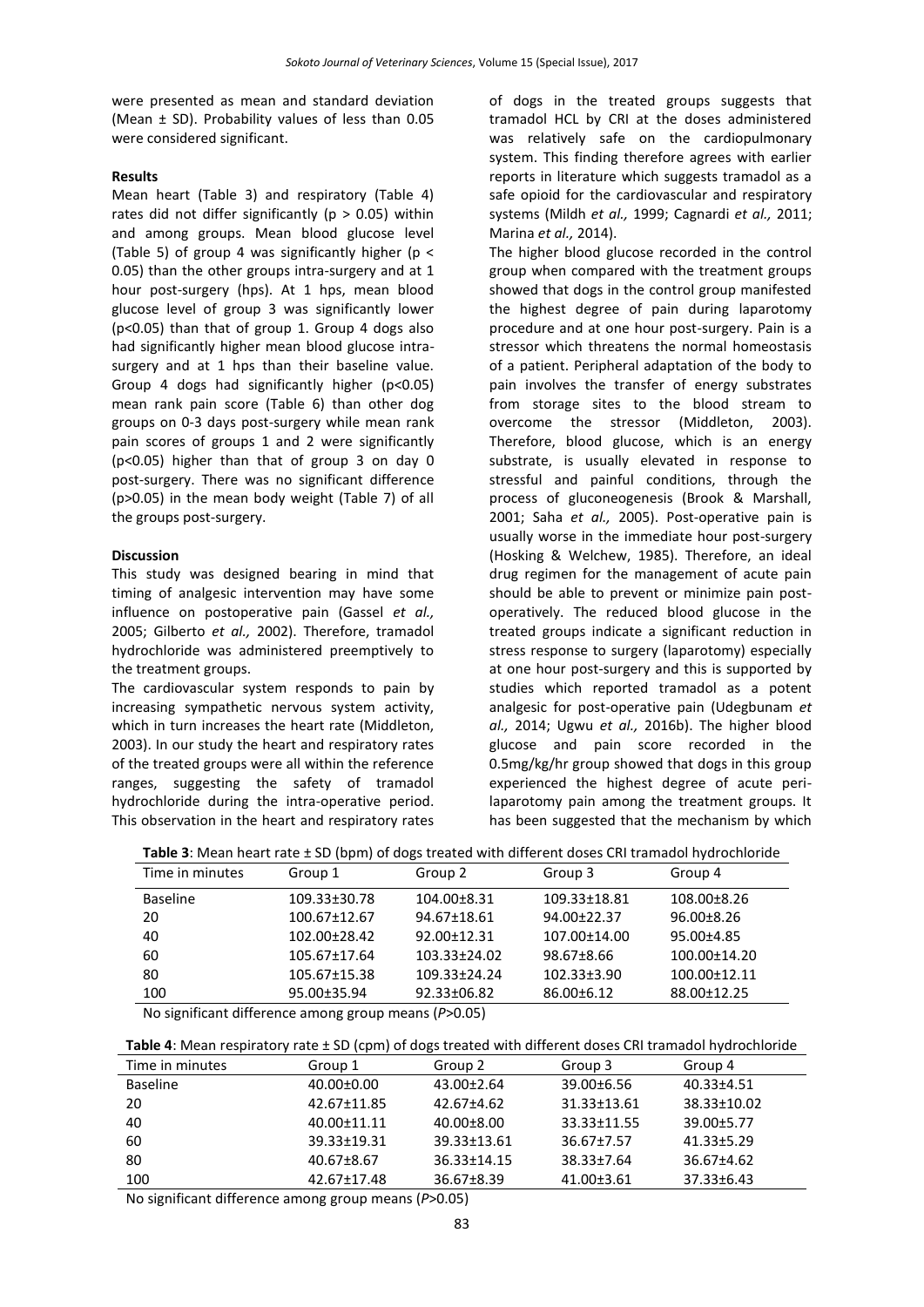were presented as mean and standard deviation (Mean ± SD). Probability values of less than 0.05 were considered significant.

#### **Results**

Mean heart (Table 3) and respiratory (Table 4) rates did not differ significantly ( $p > 0.05$ ) within and among groups. Mean blood glucose level (Table 5) of group 4 was significantly higher ( $p <$ 0.05) than the other groups intra-surgery and at 1 hour post-surgery (hps). At 1 hps, mean blood glucose level of group 3 was significantly lower (p<0.05) than that of group 1. Group 4 dogs also had significantly higher mean blood glucose intrasurgery and at 1 hps than their baseline value. Group 4 dogs had significantly higher (p<0.05) mean rank pain score (Table 6) than other dog groups on 0-3 days post-surgery while mean rank pain scores of groups 1 and 2 were significantly (p<0.05) higher than that of group 3 on day 0 post-surgery. There was no significant difference (p>0.05) in the mean body weight (Table 7) of all the groups post-surgery.

#### **Discussion**

This study was designed bearing in mind that timing of analgesic intervention may have some influence on postoperative pain (Gassel *et al.,* 2005; Gilberto *et al.,* 2002). Therefore, tramadol hydrochloride was administered preemptively to the treatment groups.

The cardiovascular system responds to pain by increasing sympathetic nervous system activity, which in turn increases the heart rate (Middleton, 2003). In our study the heart and respiratory rates of the treated groups were all within the reference ranges, suggesting the safety of tramadol hydrochloride during the intra-operative period. This observation in the heart and respiratory rates of dogs in the treated groups suggests that tramadol HCL by CRI at the doses administered was relatively safe on the cardiopulmonary system. This finding therefore agrees with earlier reports in literature which suggests tramadol as a safe opioid for the cardiovascular and respiratory systems (Mildh *et al.,* 1999; Cagnardi *et al.,* 2011; Marina *et al.,* 2014).

The higher blood glucose recorded in the control group when compared with the treatment groups showed that dogs in the control group manifested the highest degree of pain during laparotomy procedure and at one hour post-surgery. Pain is a stressor which threatens the normal homeostasis of a patient. Peripheral adaptation of the body to pain involves the transfer of energy substrates from storage sites to the blood stream to overcome the stressor (Middleton, 2003). Therefore, blood glucose, which is an energy substrate, is usually elevated in response to stressful and painful conditions, through the process of gluconeogenesis (Brook & Marshall, 2001; Saha *et al.,* 2005). Post-operative pain is usually worse in the immediate hour post-surgery (Hosking & Welchew, 1985). Therefore, an ideal drug regimen for the management of acute pain should be able to prevent or minimize pain postoperatively. The reduced blood glucose in the treated groups indicate a significant reduction in stress response to surgery (laparotomy) especially at one hour post-surgery and this is supported by studies which reported tramadol as a potent analgesic for post-operative pain (Udegbunam *et al.,* 2014; Ugwu *et al.,* 2016b). The higher blood glucose and pain score recorded in the 0.5mg/kg/hr group showed that dogs in this group experienced the highest degree of acute perilaparotomy pain among the treatment groups. It has been suggested that the mechanism by which

| Table 3: Mean heart rate $\pm$ SD (bpm) of dogs treated with different doses CRI tramadol hydrochloride |
|---------------------------------------------------------------------------------------------------------|
|---------------------------------------------------------------------------------------------------------|

| Time in minutes | Group 1      | Group 2            | Group 3           | Group 4            |
|-----------------|--------------|--------------------|-------------------|--------------------|
| <b>Baseline</b> | 109.33±30.78 | $104.00 \pm 8.31$  | 109.33±18.81      | $108.00\pm8.26$    |
| 20              | 100.67±12.67 | 94.67±18.61        | 94.00±22.37       | $96.00 \pm 8.26$   |
| 40              | 102.00±28.42 | 92.00±12.31        | 107.00±14.00      | 95.00±4.85         |
| 60              | 105.67±17.64 | $103.33 \pm 24.02$ | 98.67±8.66        | $100.00 \pm 14.20$ |
| 80              | 105.67±15.38 | $109.33 \pm 24.24$ | $102.33 \pm 3.90$ | $100.00 \pm 12.11$ |
| 100             | 95.00±35.94  | $92.33 \pm 06.82$  | 86.00±6.12        | 88.00±12.25        |

No significant difference among group means (*P*>0.05)

| Table 4: Mean respiratory rate ± SD (cpm) of dogs treated with different doses CRI tramadol hydrochloride |  |  |
|-----------------------------------------------------------------------------------------------------------|--|--|
|-----------------------------------------------------------------------------------------------------------|--|--|

| Time in minutes | Group 1          | Group 2          | Group 3          | Group 4          |
|-----------------|------------------|------------------|------------------|------------------|
| Baseline        | $40.00 \pm 0.00$ | $43.00 \pm 2.64$ | 39.00±6.56       | $40.33 \pm 4.51$ |
| -20             | 42.67±11.85      | $42.67 \pm 4.62$ | 31.33±13.61      | 38.33±10.02      |
| 40              | 40.00±11.11      | $40.00 \pm 8.00$ | 33.33±11.55      | 39.00±5.77       |
| 60              | 39.33±19.31      | 39.33±13.61      | $36.67 \pm 7.57$ | $41.33 \pm 5.29$ |
| 80              | $40.67 \pm 8.67$ | 36.33+14.15      | $38.33 + 7.64$   | $36.67 \pm 4.62$ |
| 100             | 42.67±17.48      | $36.67 \pm 8.39$ | $41.00 \pm 3.61$ | $37.33 \pm 6.43$ |

No significant difference among group means (*P*>0.05)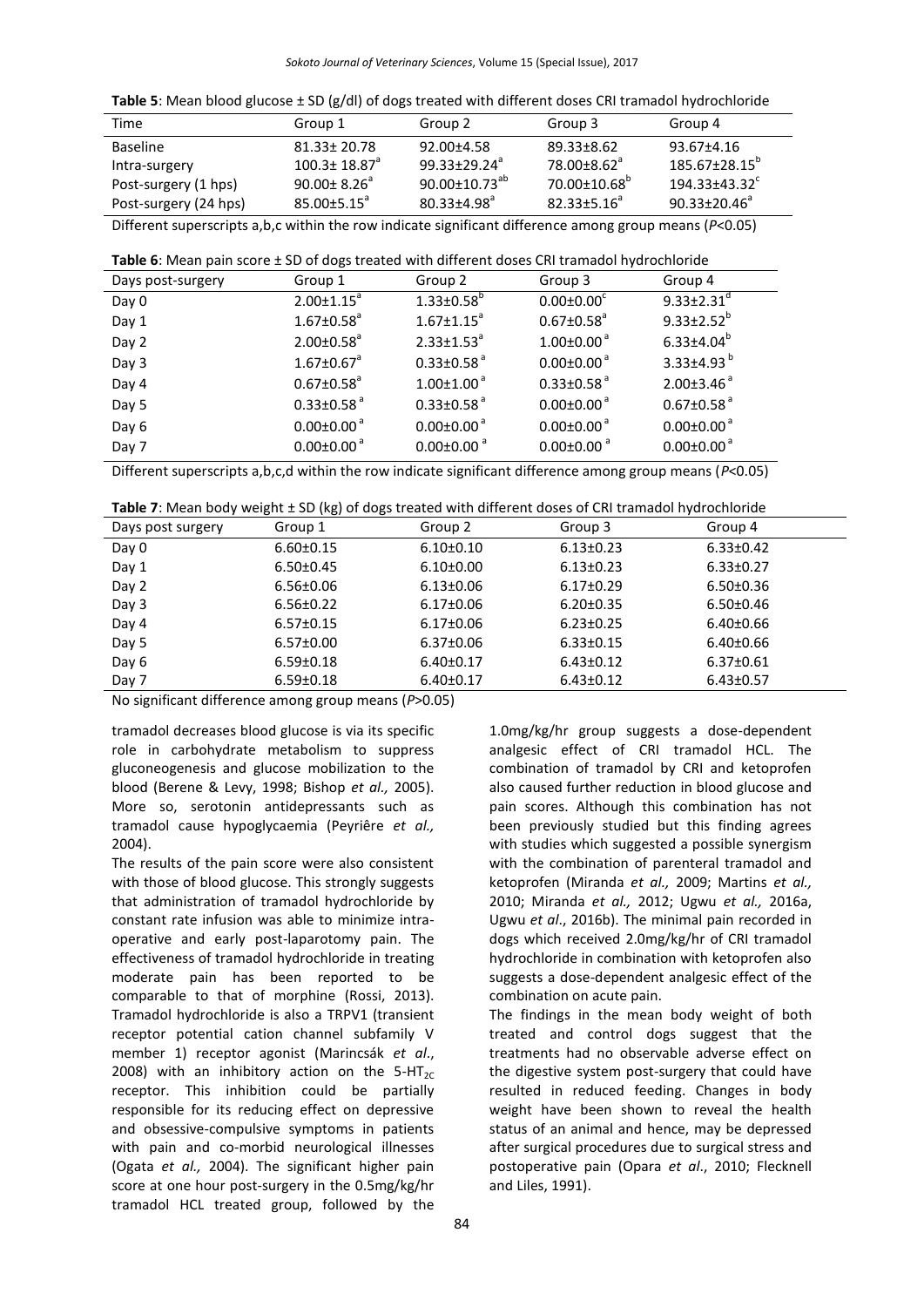| Group 1                        | Group 2                | Group 3                 | Group 4                        |
|--------------------------------|------------------------|-------------------------|--------------------------------|
| $81.33 \pm 20.78$              | $92.00 \pm 4.58$       | 89.33±8.62              | 93.67±4.16                     |
| $100.3 \pm 18.87$ <sup>a</sup> | $99.33 + 29.24^a$      | 78.00+8.62 <sup>a</sup> | 185.67+28.15 <sup>p</sup>      |
| $90.00 \pm 8.26^{\circ}$       | $90.00 \pm 10.73^{ab}$ |                         | $194.33 + 43.32^{\circ}$       |
| $85.00 \pm 5.15^{\circ}$       | $80.33 + 4.98^a$       | $82.33 + 5.16^a$        | $90.33 \pm 20.46^a$            |
|                                |                        |                         | $70.00{\pm}10.68^{\mathrm{b}}$ |

Different superscripts a,b,c within the row indicate significant difference among group means (*P*<0.05)

|  | Table 6: Mean pain score ± SD of dogs treated with different doses CRI tramadol hydrochloride |  |
|--|-----------------------------------------------------------------------------------------------|--|
|--|-----------------------------------------------------------------------------------------------|--|

| Days post-surgery | Group 1                      | Group 2                      | Group 3                      | Group 4                      |
|-------------------|------------------------------|------------------------------|------------------------------|------------------------------|
| Day 0             | $2.00 \pm 1.15^a$            | $1.33 \pm 0.58$ <sup>b</sup> | $0.00 \pm 0.00^c$            | $9.33 \pm 2.31$ <sup>d</sup> |
| Day 1             | $1.67 \pm 0.58$ <sup>a</sup> | $1.67 \pm 1.15$ <sup>a</sup> | $0.67 \pm 0.58$ <sup>a</sup> | $9.33 \pm 2.52^b$            |
| Day 2             | $2.00 \pm 0.58$ <sup>a</sup> | $2.33 \pm 1.53^a$            | $1.00 \pm 0.00$ <sup>a</sup> | $6.33{\pm}4.04^b$            |
| Day 3             | $1.67 \pm 0.67$ <sup>a</sup> | $0.33 \pm 0.58$ <sup>a</sup> | $0.00 \pm 0.00$ <sup>a</sup> | 3.33±4.93 $^{\rm b}$         |
| Day 4             | $0.67 \pm 0.58$ <sup>a</sup> | $1.00 \pm 1.00$ <sup>a</sup> | $0.33 \pm 0.58$ <sup>a</sup> | $2.00\pm3.46$ <sup>a</sup>   |
| Day 5             | $0.33 \pm 0.58$ <sup>a</sup> | $0.33 \pm 0.58$ <sup>a</sup> | $0.00 \pm 0.00$ <sup>a</sup> | $0.67 \pm 0.58$ <sup>a</sup> |
| Day 6             | $0.00 \pm 0.00$ <sup>a</sup> | $0.00 \pm 0.00$ <sup>a</sup> | $0.00 \pm 0.00$ <sup>a</sup> | $0.00 \pm 0.00$ <sup>a</sup> |
| Day 7             | $0.00 \pm 0.00$ <sup>a</sup> | $0.00 \pm 0.00$ <sup>a</sup> | $0.00 \pm 0.00$ <sup>a</sup> | $0.00 \pm 0.00$ <sup>a</sup> |

Different superscripts a,b,c,d within the row indicate significant difference among group means (*P*<0.05)

| Days post surgery | Group 1         | Group 2         | Group 3         | Group 4         |
|-------------------|-----------------|-----------------|-----------------|-----------------|
| Day 0             | $6.60 \pm 0.15$ | $6.10 \pm 0.10$ | $6.13 \pm 0.23$ | $6.33 \pm 0.42$ |
| Day 1             | $6.50 \pm 0.45$ | $6.10 \pm 0.00$ | $6.13 \pm 0.23$ | $6.33 \pm 0.27$ |
| Day 2             | $6.56 \pm 0.06$ | $6.13 \pm 0.06$ | $6.17 \pm 0.29$ | $6.50 \pm 0.36$ |
| Day 3             | $6.56 \pm 0.22$ | $6.17 \pm 0.06$ | $6.20 \pm 0.35$ | $6.50 \pm 0.46$ |
| Day 4             | $6.57 \pm 0.15$ | $6.17 \pm 0.06$ | $6.23 \pm 0.25$ | $6.40 \pm 0.66$ |
| Day 5             | $6.57 \pm 0.00$ | $6.37 \pm 0.06$ | $6.33 \pm 0.15$ | $6.40{\pm}0.66$ |
| Day 6             | $6.59 \pm 0.18$ | $6.40 \pm 0.17$ | $6.43 \pm 0.12$ | $6.37 \pm 0.61$ |
| Day 7             | $6.59 \pm 0.18$ | $6.40 \pm 0.17$ | $6.43 \pm 0.12$ | $6.43\pm0.57$   |

No significant difference among group means (*P*>0.05)

tramadol decreases blood glucose is via its specific role in carbohydrate metabolism to suppress gluconeogenesis and glucose mobilization to the blood (Berene & Levy, 1998; Bishop *et al.,* 2005). More so, serotonin antidepressants such as tramadol cause hypoglycaemia (Peyriêre *et al.,* 2004).

The results of the pain score were also consistent with those of blood glucose. This strongly suggests that administration of tramadol hydrochloride by constant rate infusion was able to minimize intraoperative and early post-laparotomy pain. The effectiveness of tramadol hydrochloride in treating moderate pain has been reported to be comparable to that of morphine (Rossi, 2013). Tramadol hydrochloride is also a [TRPV1](http://en.wikipedia.org/wiki/TRPV1) (transient receptor potential cation channel subfamily V member 1) receptor agonist (Marincsák *et al*., 2008) with an inhibitory action on the  $5-HT_{2C}$ receptor. This inhibition could be partially responsible for its reducing effect on depressive and obsessive-compulsive symptoms in patients with pain and co-morbid neurological illnesses (Ogata *et al.,* 2004). The significant higher pain score at one hour post-surgery in the 0.5mg/kg/hr tramadol HCL treated group, followed by the

1.0mg/kg/hr group suggests a dose-dependent analgesic effect of CRI tramadol HCL. The combination of tramadol by CRI and ketoprofen also caused further reduction in blood glucose and pain scores. Although this combination has not been previously studied but this finding agrees with studies which suggested a possible synergism with the combination of parenteral tramadol and ketoprofen (Miranda *et al.,* 2009; Martins *et al.,* 2010; Miranda *et al.,* 2012; Ugwu *et al.,* 2016a, Ugwu *et al*., 2016b). The minimal pain recorded in dogs which received 2.0mg/kg/hr of CRI tramadol hydrochloride in combination with ketoprofen also suggests a dose-dependent analgesic effect of the combination on acute pain.

The findings in the mean body weight of both treated and control dogs suggest that the treatments had no observable adverse effect on the digestive system post-surgery that could have resulted in reduced feeding. Changes in body weight have been shown to reveal the health status of an animal and hence, may be depressed after surgical procedures due to surgical stress and postoperative pain (Opara *et al*., 2010; Flecknell and Liles, 1991).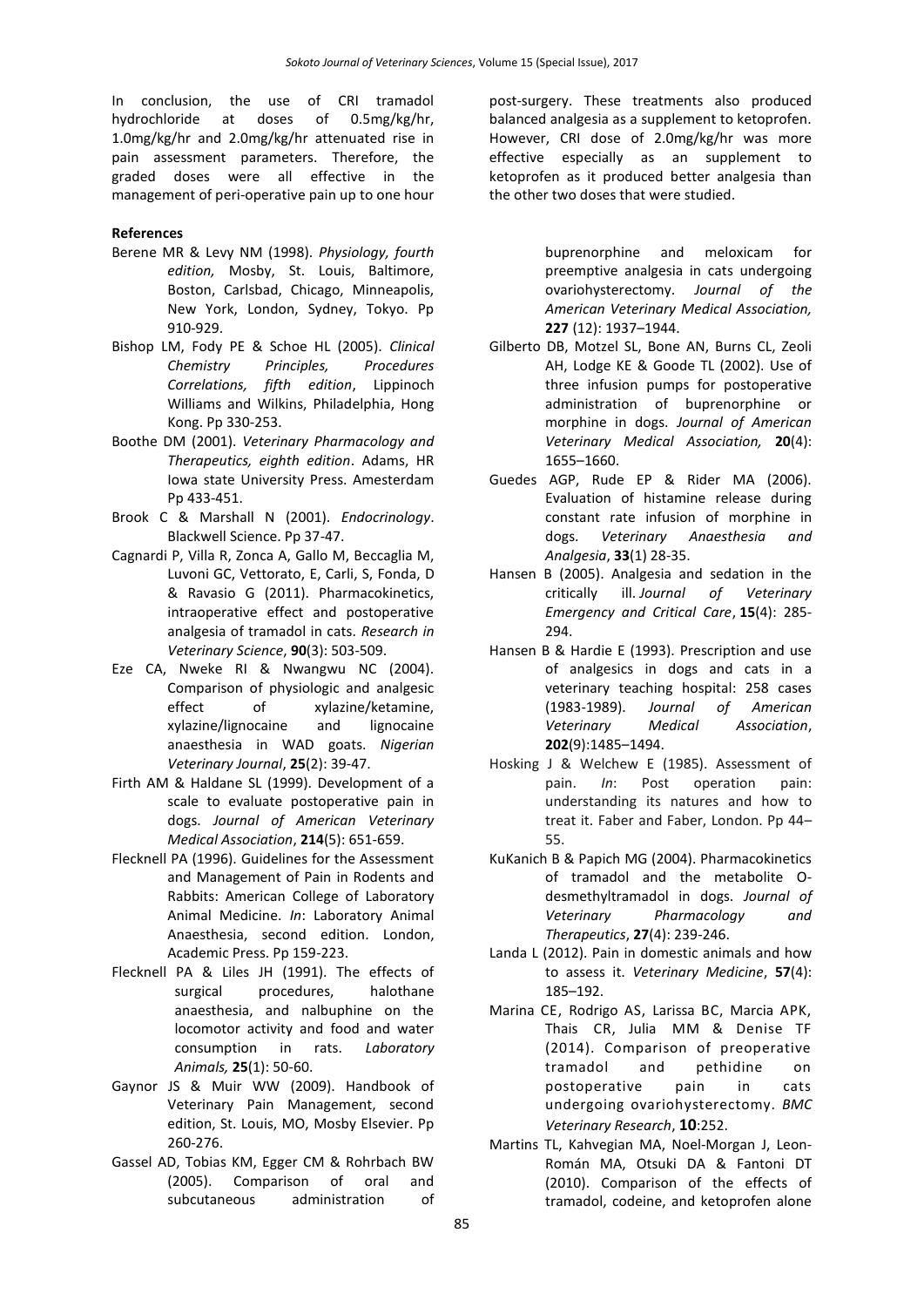In conclusion, the use of CRI tramadol hydrochloride at doses of 0.5mg/kg/hr, 1.0mg/kg/hr and 2.0mg/kg/hr attenuated rise in pain assessment parameters. Therefore, the graded doses were all effective in the management of peri-operative pain up to one hour

#### **References**

- Berene MR & Levy NM (1998). *Physiology, fourth edition,* Mosby, St. Louis, Baltimore, Boston, Carlsbad, Chicago, Minneapolis, New York, London, Sydney, Tokyo. Pp 910-929.
- Bishop LM, Fody PE & Schoe HL (2005). *Clinical Chemistry Principles, Procedures Correlations, fifth edition*, Lippinoch Williams and Wilkins, Philadelphia, Hong Kong. Pp 330-253.
- Boothe DM (2001). *Veterinary Pharmacology and Therapeutics, eighth edition*. Adams, HR Iowa state University Press. Amesterdam Pp 433-451.
- Brook C & Marshall N (2001). *Endocrinology*. Blackwell Science. Pp 37-47.
- Cagnardi P, Villa R, Zonca A, Gallo M, Beccaglia M, Luvoni GC, Vettorato, E, Carli, S, Fonda, D & Ravasio G (2011). Pharmacokinetics, intraoperative effect and postoperative analgesia of tramadol in cats. *Research in Veterinary Science*, **90**(3): 503-509.
- Eze CA, Nweke RI & Nwangwu NC (2004). Comparison of physiologic and analgesic effect of xylazine/ketamine, xylazine/lignocaine and lignocaine anaesthesia in WAD goats. *Nigerian Veterinary Journal*, **25**(2): 39-47.
- Firth AM & Haldane SL (1999). Development of a scale to evaluate postoperative pain in dogs. *Journal of American Veterinary Medical Association*, **214**(5): 651-659.
- Flecknell PA (1996). Guidelines for the Assessment and Management of Pain in Rodents and Rabbits: American College of Laboratory Animal Medicine. *In*: Laboratory Animal Anaesthesia, second edition. London, Academic Press. Pp 159-223.
- Flecknell PA & Liles JH (1991). The effects of surgical procedures, halothane anaesthesia, and nalbuphine on the locomotor activity and food and water consumption in rats. *Laboratory Animals,* **25**(1): 50-60.
- Gaynor JS & Muir WW (2009). Handbook of Veterinary Pain Management, second edition, St. Louis, MO, Mosby Elsevier. Pp 260-276.
- Gassel AD, Tobias KM, Egger CM & Rohrbach BW (2005). Comparison of oral and subcutaneous administration of

post-surgery. These treatments also produced balanced analgesia as a supplement to ketoprofen. However, CRI dose of 2.0mg/kg/hr was more effective especially as an supplement to ketoprofen as it produced better analgesia than the other two doses that were studied.

> buprenorphine and meloxicam for preemptive analgesia in cats undergoing ovariohysterectomy. *Journal of the American Veterinary Medical Association,*  **227** (12): 1937–1944.

- Gilberto DB, Motzel SL, Bone AN, Burns CL, Zeoli AH, Lodge KE & Goode TL (2002). Use of three infusion pumps for postoperative administration of buprenorphine or morphine in dogs. *Journal of American Veterinary Medical Association,* **20**(4): 1655–1660.
- Guedes AGP, Rude EP & Rider MA (2006). Evaluation of histamine release during constant rate infusion of morphine in dogs. *Veterinary Anaesthesia and Analgesia*, **33**(1) 28-35.
- Hansen B (2005). Analgesia and sedation in the critically ill. *Journal of Veterinary Emergency and Critical Care*, **15**(4): 285- 294.
- Hansen B & Hardie E (1993). Prescription and use of analgesics in dogs and cats in a veterinary teaching hospital: 258 cases (1983-1989). *Journal of American Veterinary Medical Association*, **202**(9):1485–1494.
- Hosking J & Welchew E (1985). Assessment of pain. *In*: Post operation pain: understanding its natures and how to treat it. Faber and Faber, London. Pp 44– 55.
- KuKanich B & Papich MG (2004). Pharmacokinetics of tramadol and the metabolite Odesmethyltramadol in dogs. *Journal of Veterinary Pharmacology and Therapeutics*, **27**(4): 239-246.
- Landa L (2012). Pain in domestic animals and how to assess it. *Veterinary Medicine*, **57**(4): 185–192.
- Marina CE, Rodrigo AS, Larissa BC, Marcia APK, Thais CR, Julia MM & Denise TF (2014). Comparison of preoperative tramadol and pethidine on postoperative pain in cats undergoing ovariohysterectomy. *BMC Veterinary Research*, **10**:252.
- [Martins TL,](http://www.ncbi.nlm.nih.gov/pubmed/?term=Martins%20TL%5BAuthor%5D&cauthor=true&cauthor_uid=20807140) [Kahvegian MA,](http://www.ncbi.nlm.nih.gov/pubmed/?term=Kahvegian%20MA%5BAuthor%5D&cauthor=true&cauthor_uid=20807140) [Noel-Morgan J,](http://www.ncbi.nlm.nih.gov/pubmed/?term=Noel-Morgan%20J%5BAuthor%5D&cauthor=true&cauthor_uid=20807140) [Leon-](http://www.ncbi.nlm.nih.gov/pubmed/?term=Leon-Rom%C3%A1n%20MA%5BAuthor%5D&cauthor=true&cauthor_uid=20807140)[Román MA,](http://www.ncbi.nlm.nih.gov/pubmed/?term=Leon-Rom%C3%A1n%20MA%5BAuthor%5D&cauthor=true&cauthor_uid=20807140) [Otsuki DA](http://www.ncbi.nlm.nih.gov/pubmed/?term=Otsuki%20DA%5BAuthor%5D&cauthor=true&cauthor_uid=20807140) & [Fantoni DT](http://www.ncbi.nlm.nih.gov/pubmed/?term=Fantoni%20DT%5BAuthor%5D&cauthor=true&cauthor_uid=20807140) (2010). Comparison of the effects of tramadol, codeine, and ketoprofen alone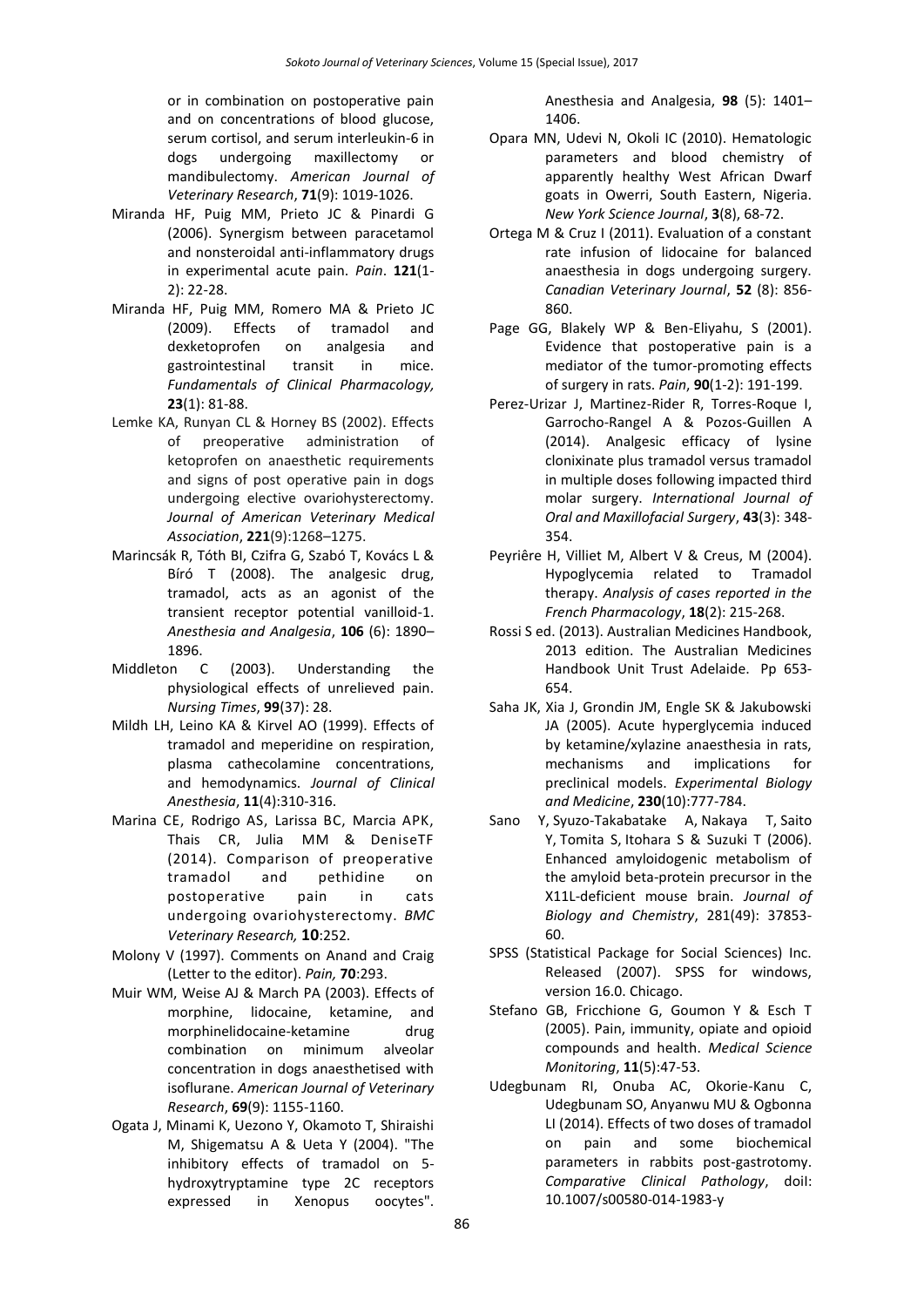or in combination on postoperative pain and on concentrations of blood glucose, serum cortisol, and serum interleukin-6 in dogs undergoing maxillectomy or mandibulectomy. *American Journal of Veterinary Research*, **71**(9): 1019-1026.

- Miranda HF, Puig MM, Prieto JC & Pinardi G (2006). Synergism between paracetamol and nonsteroidal anti-inflammatory drugs in experimental acute pain. *Pain*. **121**(1- 2): 22-28.
- [Miranda HF,](http://www.ncbi.nlm.nih.gov/pubmed/?term=Miranda%20HF%5BAuthor%5D&cauthor=true&cauthor_uid=19267773) [Puig MM,](http://www.ncbi.nlm.nih.gov/pubmed/?term=Puig%20MM%5BAuthor%5D&cauthor=true&cauthor_uid=19267773) [Romero MA](http://www.ncbi.nlm.nih.gov/pubmed/?term=Romero%20MA%5BAuthor%5D&cauthor=true&cauthor_uid=19267773) & [Prieto JC](http://www.ncbi.nlm.nih.gov/pubmed/?term=Prieto%20JC%5BAuthor%5D&cauthor=true&cauthor_uid=19267773) (2009). Effects of tramadol and dexketoprofen on analgesia and gastrointestinal transit in mice. *[Fundamentals of Clinical Pharmacology,](http://www.ncbi.nlm.nih.gov/pubmed/19267773)* **23**(1): 81-88.
- Lemke KA, Runyan CL & Horney BS (2002). Effects of preoperative administration of ketoprofen on anaesthetic requirements and signs of post operative pain in dogs undergoing elective ovariohysterectomy. *Journal of American Veterinary Medical Association*, **221**(9):1268–1275.
- Marincsák R, Tóth BI, Czifra G, Szabó T, Kovács L & Bíró T (2008). [The analgesic drug,](http://www.ncbi.nlm.nih.gov/pubmed/18499628)  [tramadol, acts as an agonist of the](http://www.ncbi.nlm.nih.gov/pubmed/18499628)  [transient receptor potential vanilloid-1.](http://www.ncbi.nlm.nih.gov/pubmed/18499628) *Anesthesia and Analgesia*, **106** (6): 1890– 1896.
- Middleton C (2003). Understanding the physiological effects of unrelieved pain. *Nursing Times*, **99**(37): 28.
- Mildh LH, Leino KA & Kirvel AO (1999). Effects of tramadol and meperidine on respiration, plasma cathecolamine concentrations, and hemodynamics. *Journal of Clinical Anesthesia*, **11**(4):310-316.
- Marina CE, Rodrigo AS, Larissa BC, Marcia APK, Thais CR, Julia MM & DeniseTF (2014). Comparison of preoperative tramadol and pethidine on postoperative pain in cats undergoing ovariohysterectomy. *BMC Veterinary Research,* **10**:252.
- Molony V (1997). Comments on Anand and Craig (Letter to the editor). *Pain,* **70**:293.
- Muir WM, Weise AJ & March PA (2003). Effects of morphine, lidocaine, ketamine, and morphinelidocaine-ketamine drug combination on minimum alveolar concentration in dogs anaesthetised with isoflurane. *American Journal of Veterinary Research*, **69**(9): 1155-1160.
- Ogata J, Minami K, Uezono Y, Okamoto T, Shiraishi M, Shigematsu A & Ueta Y (2004). "The inhibitory effects of tramadol on 5 hydroxytryptamine type 2C receptors expressed in Xenopus oocytes".

Anesthesia and Analgesia, **98** (5): 1401– 1406.

- Opara MN, Udevi N, Okoli IC (2010). Hematologic parameters and blood chemistry of apparently healthy West African Dwarf goats in Owerri, South Eastern, Nigeria. *New York Science Journal*, **3**(8), 68-72.
- Ortega M & Cruz I (2011). Evaluation of a constant rate infusion of lidocaine for balanced anaesthesia in dogs undergoing surgery. *Canadian Veterinary Journal*, **52** (8): 856- 860.
- Page GG, Blakely WP & Ben-Eliyahu, S (2001). Evidence that postoperative pain is a mediator of the tumor-promoting effects of surgery in rats. *Pain*, **90**(1-2): 191-199.
- Perez-Urizar J, Martinez-Rider R, Torres-Roque I, Garrocho-Rangel A & Pozos-Guillen A (2014). Analgesic efficacy of lysine clonixinate plus tramadol versus tramadol in multiple doses following impacted third molar surgery. *International Journal of Oral and Maxillofacial Surgery*, **43**(3): 348- 354.
- Peyriêre H, Villiet M, Albert V & Creus, M (2004). Hypoglycemia related to Tramadol therapy. *Analysis of cases reported in the French Pharmacology*, **18**(2): 215-268.
- Rossi S ed. (2013). Australian Medicines Handbook, 2013 edition. The Australian Medicines Handbook Unit Trust Adelaide. Pp 653- 654.
- Saha JK, Xia J, Grondin JM, Engle SK & Jakubowski JA (2005). Acute hyperglycemia induced by ketamine/xylazine anaesthesia in rats, mechanisms and implications for preclinical models. *Experimental Biology and Medicine*, **230**(10):777-784.
- Sano [Y,](http://www.ncbi.nlm.nih.gov/pubmed/?term=Sano%20Y%5BAuthor%5D&cauthor=true&cauthor_uid=17032642) [Syuzo-Takabatake A,](http://www.ncbi.nlm.nih.gov/pubmed/?term=Syuzo-Takabatake%20A%5BAuthor%5D&cauthor=true&cauthor_uid=17032642) [Nakaya T,](http://www.ncbi.nlm.nih.gov/pubmed/?term=Nakaya%20T%5BAuthor%5D&cauthor=true&cauthor_uid=17032642) [Saito](http://www.ncbi.nlm.nih.gov/pubmed/?term=Saito%20Y%5BAuthor%5D&cauthor=true&cauthor_uid=17032642)  [Y,](http://www.ncbi.nlm.nih.gov/pubmed/?term=Saito%20Y%5BAuthor%5D&cauthor=true&cauthor_uid=17032642) [Tomita S,](http://www.ncbi.nlm.nih.gov/pubmed/?term=Tomita%20S%5BAuthor%5D&cauthor=true&cauthor_uid=17032642) [Itohara S](http://www.ncbi.nlm.nih.gov/pubmed/?term=Itohara%20S%5BAuthor%5D&cauthor=true&cauthor_uid=17032642) & [Suzuki T](http://www.ncbi.nlm.nih.gov/pubmed/?term=Suzuki%20T%5BAuthor%5D&cauthor=true&cauthor_uid=17032642) (2006). Enhanced amyloidogenic metabolism of the amyloid beta-protein precursor in the X11L-deficient mouse brain. *Journal of Biology and Chemistry*, 281(49): 37853- 60.
- SPSS (Statistical Package for Social Sciences) Inc. Released (2007). SPSS for windows, version 16.0. Chicago.
- Stefano GB, Fricchione G, Goumon Y & Esch T (2005). Pain, immunity, opiate and opioid compounds and health. *Medical Science Monitoring*, **11**(5):47-53.
- Udegbunam RI, Onuba AC, Okorie-Kanu C, Udegbunam SO, Anyanwu MU & Ogbonna LI (2014). Effects of two doses of tramadol on pain and some biochemical parameters in rabbits post-gastrotomy. *Comparative Clinical Pathology*, doiI: 10.1007/s00580-014-1983-y